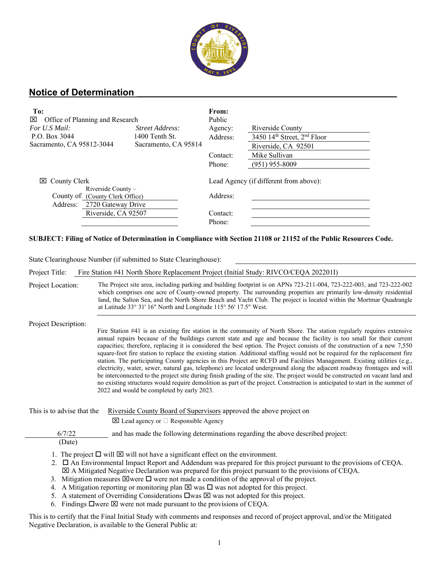

## **Notice of Determination \_\_\_\_\_\_\_\_\_\_\_\_\_\_\_\_\_\_\_\_\_\_\_\_\_\_\_\_\_\_\_\_\_\_\_\_\_\_\_\_\_\_\_\_\_**

| To:<br>⊠<br>Office of Planning and Research                                                                   |                      | From:<br>Public                                    |                                 |
|---------------------------------------------------------------------------------------------------------------|----------------------|----------------------------------------------------|---------------------------------|
| For U.S Mail:                                                                                                 | Street Address:      | Agency:                                            | Riverside County                |
| P.O. Box 3044                                                                                                 | 1400 Tenth St.       | Address:                                           | 3450 $14th$ Street, $2nd$ Floor |
| Sacramento, CA 95812-3044                                                                                     | Sacramento, CA 95814 |                                                    | Riverside, CA 92501             |
|                                                                                                               |                      | Contact:                                           | Mike Sullivan                   |
|                                                                                                               |                      | Phone:                                             | $(951)$ 955-8009                |
| County Clerk<br>⊠<br>Riverside County -<br>County of: (County Clerk Office)<br>2720 Gateway Drive<br>Address: |                      | Lead Agency (if different from above):<br>Address: |                                 |
| Riverside, CA 92507                                                                                           |                      | Contact:                                           |                                 |
|                                                                                                               |                      | Phone:                                             |                                 |

## **SUBJECT: Filing of Notice of Determination in Compliance with Section 21108 or 21152 of the Public Resources Code.**

State Clearinghouse Number (if submitted to State Clearinghouse):

Project Title: Fire Station #41 North Shore Replacement Project (Initial Study: RIVCO/CEQA 202201I)

| Project Location: | The Project site area, including parking and building footprint is on APNs 723-211-004, 723-222-003, and 723-222-002 |
|-------------------|----------------------------------------------------------------------------------------------------------------------|
|                   | which comprises one acre of County-owned property. The surrounding properties are primarily low-density residential  |
|                   | land, the Salton Sea, and the North Shore Beach and Yacht Club. The project is located within the Mortmar Quadrangle |
|                   | at Latitude 33° 31′ 16″ North and Longitude 115° 56′ 17.5″ West.                                                     |

Project Description:

Fire Station #41 is an existing fire station in the community of North Shore. The station regularly requires extensive annual repairs because of the buildings current state and age and because the facility is too small for their current capacities; therefore, replacing it is considered the best option. The Project consists of the construction of a new 7,550 square-foot fire station to replace the existing station. Additional staffing would not be required for the replacement fire station. The participating County agencies in this Project are RCFD and Facilities Management. Existing utilities (e.g., electricity, water, sewer, natural gas, telephone) are located underground along the adjacent roadway frontages and will be interconnected to the project site during finish grading of the site. The project would be constructed on vacant land and no existing structures would require demolition as part of the project. Construction is anticipated to start in the summer of 2022 and would be completed by early 2023.

This is to advise that the Riverside County Board of Supervisors approved the above project on

 $\boxtimes$  Lead agency or  $\Box$  Responsible Agency

6/7/22 and has made the following determinations regarding the above described project:

- (Date)
- 1. The project  $\Box$  will  $\boxtimes$  will not have a significant effect on the environment.
- 2.  $\Box$  An Environmental Impact Report and Addendum was prepared for this project pursuant to the provisions of CEQA. A Mitigated Negative Declaration was prepared for this project pursuant to the provisions of CEQA.
- 3. Mitigation measures  $\boxtimes$  were  $\square$  were not made a condition of the approval of the project.
- 4. A Mitigation reporting or monitoring plan  $\boxtimes$  was  $\square$  was not adopted for this project.
- 5. A statement of Overriding Considerations  $\Box$  was  $\boxtimes$  was not adopted for this project.
- 6. Findings  $\square$  were  $\square$  were not made pursuant to the provisions of CEQA.

This is to certify that the Final Initial Study with comments and responses and record of project approval, and/or the Mitigated Negative Declaration, is available to the General Public at: